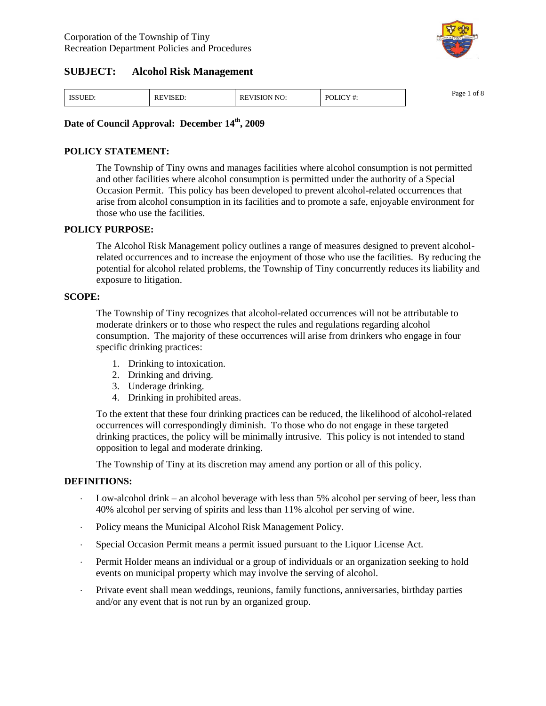

| <b>ISSUED.</b> | <sup>-</sup> VISED.<br>RE | EVISION NO:<br>rc | POLICY #: | Page<br>ot 8<br>--- |
|----------------|---------------------------|-------------------|-----------|---------------------|
|----------------|---------------------------|-------------------|-----------|---------------------|

### **Date of Council Approval: December 14th, 2009**

### **POLICY STATEMENT:**

The Township of Tiny owns and manages facilities where alcohol consumption is not permitted and other facilities where alcohol consumption is permitted under the authority of a Special Occasion Permit. This policy has been developed to prevent alcohol-related occurrences that arise from alcohol consumption in its facilities and to promote a safe, enjoyable environment for those who use the facilities.

#### **POLICY PURPOSE:**

The Alcohol Risk Management policy outlines a range of measures designed to prevent alcoholrelated occurrences and to increase the enjoyment of those who use the facilities. By reducing the potential for alcohol related problems, the Township of Tiny concurrently reduces its liability and exposure to litigation.

#### **SCOPE:**

The Township of Tiny recognizes that alcohol-related occurrences will not be attributable to moderate drinkers or to those who respect the rules and regulations regarding alcohol consumption. The majority of these occurrences will arise from drinkers who engage in four specific drinking practices:

- 1. Drinking to intoxication.
- 2. Drinking and driving.
- 3. Underage drinking.
- 4. Drinking in prohibited areas.

To the extent that these four drinking practices can be reduced, the likelihood of alcohol-related occurrences will correspondingly diminish. To those who do not engage in these targeted drinking practices, the policy will be minimally intrusive. This policy is not intended to stand opposition to legal and moderate drinking.

The Township of Tiny at its discretion may amend any portion or all of this policy.

### **DEFINITIONS:**

- Low-alcohol drink –an alcohol beverage with less than 5% alcohol per serving of beer, less than 40% alcohol per serving of spirits and less than 11% alcohol per serving of wine.
- Policy means the Municipal Alcohol Risk Management Policy.
- Special Occasion Permit means a permit issued pursuant to the Liquor License Act.
- Permit Holder means an individual or a group of individuals or an organization seeking to hold events on municipal property which may involve the serving of alcohol.
- Private event shall mean weddings, reunions, family functions, anniversaries, birthday parties and/or any event that is not run by an organized group.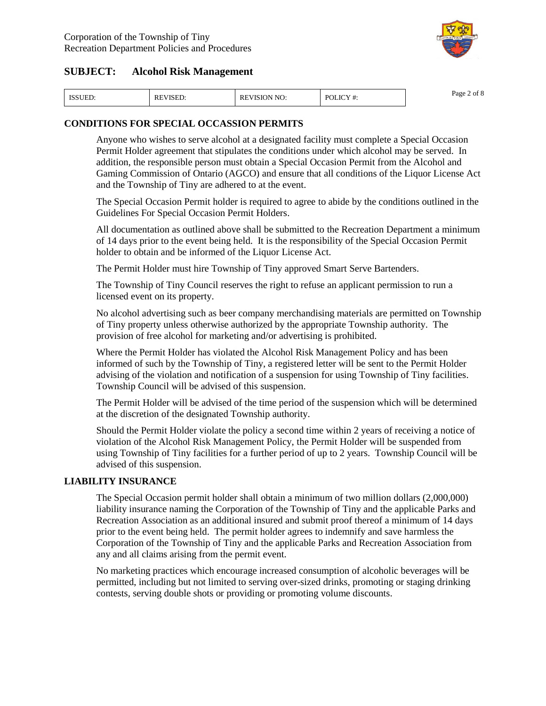

| <b>ISSUED:</b> | <b>REVISED:</b> | <b>REVISION NO:</b> | POLICY#:<br>ι π. | $\sim$ $\sim$<br>Page<br>ot ≀ |
|----------------|-----------------|---------------------|------------------|-------------------------------|
|----------------|-----------------|---------------------|------------------|-------------------------------|

### **CONDITIONS FOR SPECIAL OCCASSION PERMITS**

Anyone who wishes to serve alcohol at a designated facility must complete a Special Occasion Permit Holder agreement that stipulates the conditions under which alcohol may be served. In addition, the responsible person must obtain a Special Occasion Permit from the Alcohol and Gaming Commission of Ontario (AGCO) and ensure that all conditions of the Liquor License Act and the Township of Tiny are adhered to at the event.

The Special Occasion Permit holder is required to agree to abide by the conditions outlined in the Guidelines For Special Occasion Permit Holders.

All documentation as outlined above shall be submitted to the Recreation Department a minimum of 14 days prior to the event being held. It is the responsibility of the Special Occasion Permit holder to obtain and be informed of the Liquor License Act.

The Permit Holder must hire Township of Tiny approved Smart Serve Bartenders.

The Township of Tiny Council reserves the right to refuse an applicant permission to run a licensed event on its property.

No alcohol advertising such as beer company merchandising materials are permitted on Township of Tiny property unless otherwise authorized by the appropriate Township authority. The provision of free alcohol for marketing and/or advertising is prohibited.

Where the Permit Holder has violated the Alcohol Risk Management Policy and has been informed of such by the Township of Tiny, a registered letter will be sent to the Permit Holder advising of the violation and notification of a suspension for using Township of Tiny facilities. Township Council will be advised of this suspension.

The Permit Holder will be advised of the time period of the suspension which will be determined at the discretion of the designated Township authority.

Should the Permit Holder violate the policy a second time within 2 years of receiving a notice of violation of the Alcohol Risk Management Policy, the Permit Holder will be suspended from using Township of Tiny facilities for a further period of up to 2 years. Township Council will be advised of this suspension.

### **LIABILITY INSURANCE**

The Special Occasion permit holder shall obtain a minimum of two million dollars (2,000,000) liability insurance naming the Corporation of the Township of Tiny and the applicable Parks and Recreation Association as an additional insured and submit proof thereof a minimum of 14 days prior to the event being held. The permit holder agrees to indemnify and save harmless the Corporation of the Township of Tiny and the applicable Parks and Recreation Association from any and all claims arising from the permit event.

No marketing practices which encourage increased consumption of alcoholic beverages will be permitted, including but not limited to serving over-sized drinks, promoting or staging drinking contests, serving double shots or providing or promoting volume discounts.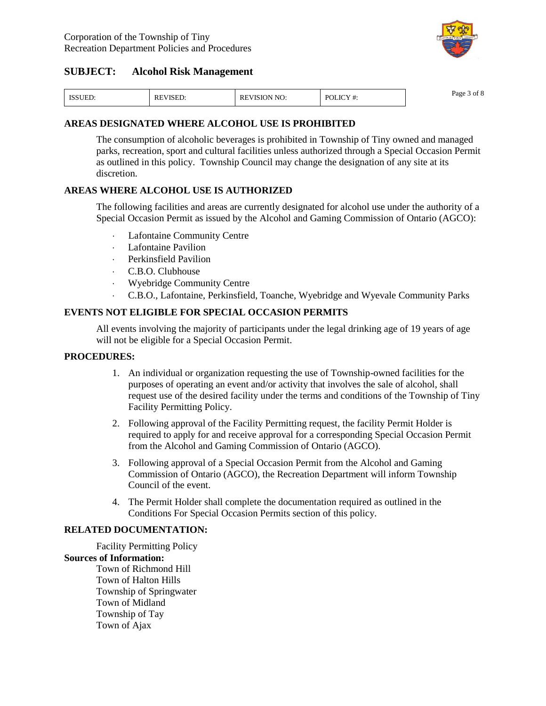

| <b>ISSUED:</b> | <b>VISED:</b><br>RE | <b>REVISION NO:</b> | POLICY#: | Page<br>of $\delta$ |
|----------------|---------------------|---------------------|----------|---------------------|
|----------------|---------------------|---------------------|----------|---------------------|

### **AREAS DESIGNATED WHERE ALCOHOL USE IS PROHIBITED**

The consumption of alcoholic beverages is prohibited in Township of Tiny owned and managed parks, recreation, sport and cultural facilities unless authorized through a Special Occasion Permit as outlined in this policy. Township Council may change the designation of any site at its discretion.

### **AREAS WHERE ALCOHOL USE IS AUTHORIZED**

The following facilities and areas are currently designated for alcohol use under the authority of a Special Occasion Permit as issued by the Alcohol and Gaming Commission of Ontario (AGCO):

- Lafontaine Community Centre
- Lafontaine Pavilion
- Perkinsfield Pavilion
- C.B.O. Clubhouse
- Wyebridge Community Centre
- C.B.O., Lafontaine, Perkinsfield, Toanche, Wyebridge and Wyevale Community Parks

### **EVENTS NOT ELIGIBLE FOR SPECIAL OCCASION PERMITS**

All events involving the majority of participants under the legal drinking age of 19 years of age will not be eligible for a Special Occasion Permit.

### **PROCEDURES:**

- 1. An individual or organization requesting the use of Township-owned facilities for the purposes of operating an event and/or activity that involves the sale of alcohol, shall request use of the desired facility under the terms and conditions of the Township of Tiny Facility Permitting Policy.
- 2. Following approval of the Facility Permitting request, the facility Permit Holder is required to apply for and receive approval for a corresponding Special Occasion Permit from the Alcohol and Gaming Commission of Ontario (AGCO).
- 3. Following approval of a Special Occasion Permit from the Alcohol and Gaming Commission of Ontario (AGCO), the Recreation Department will inform Township Council of the event.
- 4. The Permit Holder shall complete the documentation required as outlined in the Conditions For Special Occasion Permits section of this policy.

### **RELATED DOCUMENTATION:**

Facility Permitting Policy **Sources of Information:**

> Town of Richmond Hill Town of Halton Hills Township of Springwater Town of Midland Township of Tay Town of Ajax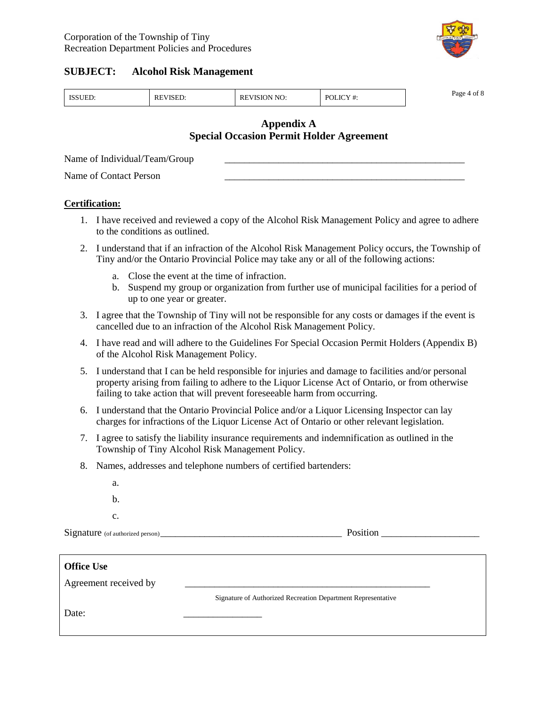

| TC's<br>D∩I<br>RI<br>NH<br>к<br>$\sim$<br>$\sim$ $\sim$ $\sim$ $\sim$ $\sim$ | Page<br>ີ |
|------------------------------------------------------------------------------|-----------|
|------------------------------------------------------------------------------|-----------|

### **Appendix A Special Occasion Permit Holder Agreement**

Name of Individual/Team/Group

Name of Contact Person

### **Certification:**

- 1. I have received and reviewed a copy of the Alcohol Risk Management Policy and agree to adhere to the conditions as outlined.
- 2. I understand that if an infraction of the Alcohol Risk Management Policy occurs, the Township of Tiny and/or the Ontario Provincial Police may take any or all of the following actions:
	- a. Close the event at the time of infraction.
	- b. Suspend my group or organization from further use of municipal facilities for a period of up to one year or greater.
- 3. I agree that the Township of Tiny will not be responsible for any costs or damages if the event is cancelled due to an infraction of the Alcohol Risk Management Policy.
- 4. I have read and will adhere to the Guidelines For Special Occasion Permit Holders (Appendix B) of the Alcohol Risk Management Policy.
- 5. I understand that I can be held responsible for injuries and damage to facilities and/or personal property arising from failing to adhere to the Liquor License Act of Ontario, or from otherwise failing to take action that will prevent foreseeable harm from occurring.
- 6. I understand that the Ontario Provincial Police and/or a Liquor Licensing Inspector can lay charges for infractions of the Liquor License Act of Ontario or other relevant legislation.
- 7. I agree to satisfy the liability insurance requirements and indemnification as outlined in the Township of Tiny Alcohol Risk Management Policy.
- 8. Names, addresses and telephone numbers of certified bartenders:
	- a. b.
	- c.

Signature (of authorized person) Position

| <b>Office Use</b>     |                                                              |
|-----------------------|--------------------------------------------------------------|
| Agreement received by |                                                              |
|                       | Signature of Authorized Recreation Department Representative |
| Date:                 |                                                              |
|                       |                                                              |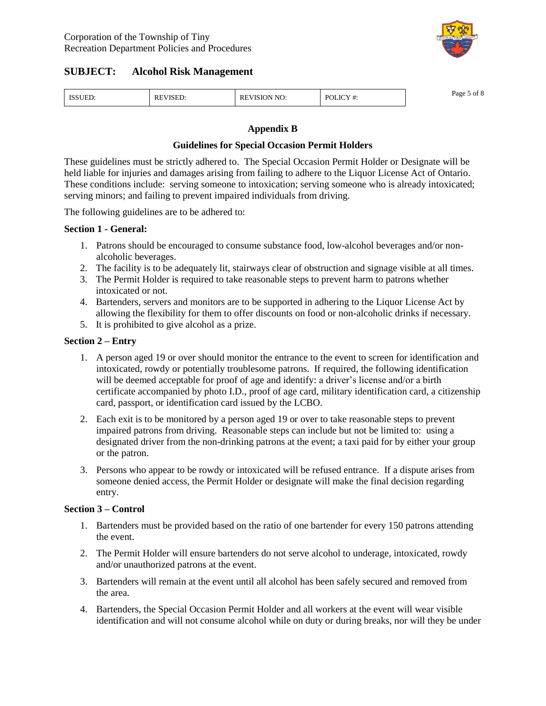

| <b>TOOLIDE</b><br>' 'EL. | VISEL.<br>NĽ | NO:<br>RE<br>n. | .<br>DC<br>л<br>л<br>. | $\sim$ $\sim$<br>Page<br>ot |
|--------------------------|--------------|-----------------|------------------------|-----------------------------|
|--------------------------|--------------|-----------------|------------------------|-----------------------------|

### **Appendix B**

### **Guidelines for Special Occasion Permit Holders**

These guidelines must be strictly adhered to. The Special Occasion Permit Holder or Designate will be held liable for injuries and damages arising from failing to adhere to the Liquor License Act of Ontario. These conditions include: serving someone to intoxication; serving someone who is already intoxicated; serving minors; and failing to prevent impaired individuals from driving.

The following guidelines are to be adhered to:

### **Section 1 - General:**

- 1. Patrons should be encouraged to consume substance food, low-alcohol beverages and/or nonalcoholic beverages.
- 2. The facility is to be adequately lit, stairways clear of obstruction and signage visible at all times.
- 3. The Permit Holder is required to take reasonable steps to prevent harm to patrons whether intoxicated or not.
- 4. Bartenders, servers and monitors are to be supported in adhering to the Liquor License Act by allowing the flexibility for them to offer discounts on food or non-alcoholic drinks if necessary.
- 5. It is prohibited to give alcohol as a prize.

### **Section 2 –Entry**

- 1. A person aged 19 or over should monitor the entrance to the event to screen for identification and intoxicated, rowdy or potentially troublesome patrons. If required, the following identification will be deemed acceptable for proof of age and identify: a driver's license and/or a birth certificate accompanied by photo I.D., proof of age card, military identification card, a citizenship card, passport, or identification card issued by the LCBO.
- 2. Each exit is to be monitored by a person aged 19 or over to take reasonable steps to prevent impaired patrons from driving. Reasonable steps can include but not be limited to: using a designated driver from the non-drinking patrons at the event; a taxi paid for by either your group or the patron.
- 3. Persons who appear to be rowdy or intoxicated will be refused entrance. If a dispute arises from someone denied access, the Permit Holder or designate will make the final decision regarding entry.

### **Section 3 –Control**

- 1. Bartenders must be provided based on the ratio of one bartender for every 150 patrons attending the event.
- 2. The Permit Holder will ensure bartenders do not serve alcohol to underage, intoxicated, rowdy and/or unauthorized patrons at the event.
- 3. Bartenders will remain at the event until all alcohol has been safely secured and removed from the area.
- 4. Bartenders, the Special Occasion Permit Holder and all workers at the event will wear visible identification and will not consume alcohol while on duty or during breaks, nor will they be under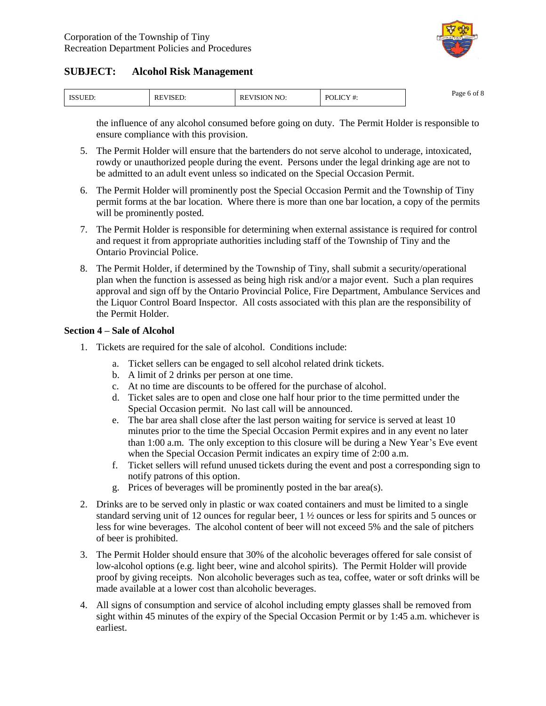

| <b>ICCLILI</b><br>NUEL. | RE<br>VISE | NO:<br>EVISION<br>КE | $\cdots$<br>P∩I<br>и | $\sim$ $\sim$<br>Page 6 of 8<br>. . |
|-------------------------|------------|----------------------|----------------------|-------------------------------------|
|-------------------------|------------|----------------------|----------------------|-------------------------------------|

the influence of any alcohol consumed before going on duty. The Permit Holder is responsible to ensure compliance with this provision.

- 5. The Permit Holder will ensure that the bartenders do not serve alcohol to underage, intoxicated, rowdy or unauthorized people during the event. Persons under the legal drinking age are not to be admitted to an adult event unless so indicated on the Special Occasion Permit.
- 6. The Permit Holder will prominently post the Special Occasion Permit and the Township of Tiny permit forms at the bar location. Where there is more than one bar location, a copy of the permits will be prominently posted.
- 7. The Permit Holder is responsible for determining when external assistance is required for control and request it from appropriate authorities including staff of the Township of Tiny and the Ontario Provincial Police.
- 8. The Permit Holder, if determined by the Township of Tiny, shall submit a security/operational plan when the function is assessed as being high risk and/or a major event. Such a plan requires approval and sign off by the Ontario Provincial Police, Fire Department, Ambulance Services and the Liquor Control Board Inspector. All costs associated with this plan are the responsibility of the Permit Holder.

### **Section 4 –Sale of Alcohol**

- 1. Tickets are required for the sale of alcohol. Conditions include:
	- a. Ticket sellers can be engaged to sell alcohol related drink tickets.
	- b. A limit of 2 drinks per person at one time.
	- c. At no time are discounts to be offered for the purchase of alcohol.
	- d. Ticket sales are to open and close one half hour prior to the time permitted under the Special Occasion permit. No last call will be announced.
	- e. The bar area shall close after the last person waiting for service is served at least 10 minutes prior to the time the Special Occasion Permit expires and in any event no later than 1:00 a.m. The only exception to this closure will be during a New Year's Eve event when the Special Occasion Permit indicates an expiry time of 2:00 a.m.
	- f. Ticket sellers will refund unused tickets during the event and post a corresponding sign to notify patrons of this option.
	- g. Prices of beverages will be prominently posted in the bar area(s).
- 2. Drinks are to be served only in plastic or wax coated containers and must be limited to a single standard serving unit of 12 ounces for regular beer, 1 ½ ounces or less for spirits and 5 ounces or less for wine beverages. The alcohol content of beer will not exceed 5% and the sale of pitchers of beer is prohibited.
- 3. The Permit Holder should ensure that 30% of the alcoholic beverages offered for sale consist of low-alcohol options (e.g. light beer, wine and alcohol spirits). The Permit Holder will provide proof by giving receipts. Non alcoholic beverages such as tea, coffee, water or soft drinks will be made available at a lower cost than alcoholic beverages.
- 4. All signs of consumption and service of alcohol including empty glasses shall be removed from sight within 45 minutes of the expiry of the Special Occasion Permit or by 1:45 a.m. whichever is earliest.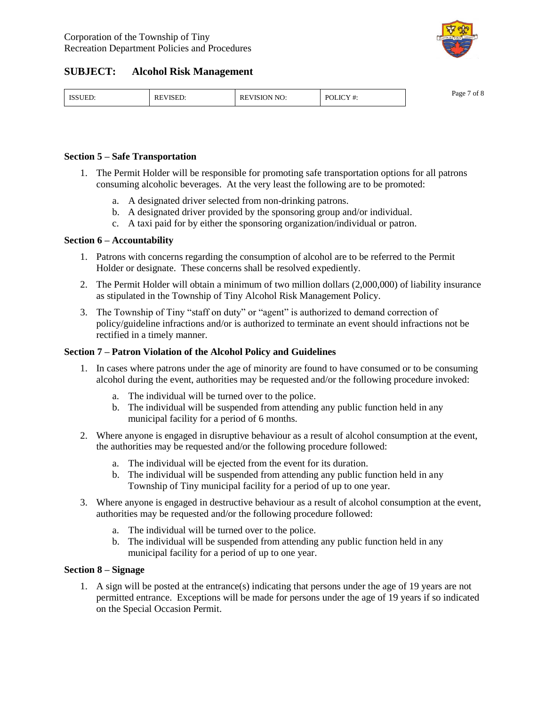

| <b>ISSUED</b><br>VISION NO:<br>$\cdots$<br><b>POL</b><br><b>PART 11</b><br>RE'<br>RE'<br>OLIC<br>' VISEL.<br>$\cdot$<br>™EL.<br>. |
|-----------------------------------------------------------------------------------------------------------------------------------|
|-----------------------------------------------------------------------------------------------------------------------------------|

### **Section 5 –Safe Transportation**

- 1. The Permit Holder will be responsible for promoting safe transportation options for all patrons consuming alcoholic beverages. At the very least the following are to be promoted:
	- a. A designated driver selected from non-drinking patrons.
	- b. A designated driver provided by the sponsoring group and/or individual.
	- c. A taxi paid for by either the sponsoring organization/individual or patron.

### **Section 6 –Accountability**

- 1. Patrons with concerns regarding the consumption of alcohol are to be referred to the Permit Holder or designate. These concerns shall be resolved expediently.
- 2. The Permit Holder will obtain a minimum of two million dollars (2,000,000) of liability insurance as stipulated in the Township of Tiny Alcohol Risk Management Policy.
- 3. The Township of Tiny "staff on duty" or "agent" is authorized to demand correction of policy/guideline infractions and/or is authorized to terminate an event should infractions not be rectified in a timely manner.

### **Section 7 –Patron Violation of the Alcohol Policy and Guidelines**

- 1. In cases where patrons under the age of minority are found to have consumed or to be consuming alcohol during the event, authorities may be requested and/or the following procedure invoked:
	- a. The individual will be turned over to the police.
	- b. The individual will be suspended from attending any public function held in any municipal facility for a period of 6 months.
- 2. Where anyone is engaged in disruptive behaviour as a result of alcohol consumption at the event, the authorities may be requested and/or the following procedure followed:
	- a. The individual will be ejected from the event for its duration.
	- b. The individual will be suspended from attending any public function held in any Township of Tiny municipal facility for a period of up to one year.
- 3. Where anyone is engaged in destructive behaviour as a result of alcohol consumption at the event, authorities may be requested and/or the following procedure followed:
	- a. The individual will be turned over to the police.
	- b. The individual will be suspended from attending any public function held in any municipal facility for a period of up to one year.

### **Section 8 –Signage**

1. A sign will be posted at the entrance(s) indicating that persons under the age of 19 years are not permitted entrance. Exceptions will be made for persons under the age of 19 years if so indicated on the Special Occasion Permit.